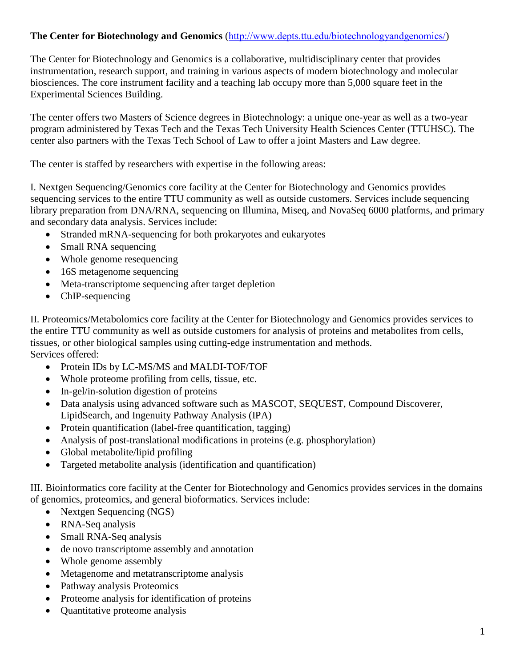## **The Center for Biotechnology and Genomics** (<http://www.depts.ttu.edu/biotechnologyandgenomics/>)

The Center for Biotechnology and Genomics is a collaborative, multidisciplinary center that provides instrumentation, research support, and training in various aspects of modern biotechnology and molecular biosciences. The core instrument facility and a teaching lab occupy more than 5,000 square feet in the Experimental Sciences Building.

The center offers two Masters of Science degrees in Biotechnology: a unique one-year as well as a two-year program administered by Texas Tech and the Texas Tech University Health Sciences Center (TTUHSC). The center also partners with the Texas Tech School of Law to offer a joint Masters and Law degree.

The center is staffed by researchers with expertise in the following areas:

I. Nextgen Sequencing/Genomics core facility at the Center for Biotechnology and Genomics provides sequencing services to the entire TTU community as well as outside customers. Services include sequencing library preparation from DNA/RNA, sequencing on Illumina, Miseq, and NovaSeq 6000 platforms, and primary and secondary data analysis. Services include:

- Stranded mRNA-sequencing for both prokaryotes and eukaryotes
- Small RNA sequencing
- Whole genome resequencing
- 16S metagenome sequencing
- Meta-transcriptome sequencing after target depletion
- ChIP-sequencing

II. Proteomics/Metabolomics core facility at the Center for Biotechnology and Genomics provides services to the entire TTU community as well as outside customers for analysis of proteins and metabolites from cells, tissues, or other biological samples using cutting-edge instrumentation and methods. Services offered:

- Protein IDs by LC-MS/MS and MALDI-TOF/TOF
- Whole proteome profiling from cells, tissue, etc.
- In-gel/in-solution digestion of proteins
- Data analysis using advanced software such as MASCOT, SEOUEST, Compound Discoverer, LipidSearch, and Ingenuity Pathway Analysis (IPA)
- Protein quantification (label-free quantification, tagging)
- Analysis of post-translational modifications in proteins (e.g. phosphorylation)
- Global metabolite/lipid profiling
- Targeted metabolite analysis (identification and quantification)

III. Bioinformatics core facility at the Center for Biotechnology and Genomics provides services in the domains of genomics, proteomics, and general bioformatics. Services include:

- Nextgen Sequencing (NGS)
- RNA-Seq analysis
- Small RNA-Seq analysis
- de novo transcriptome assembly and annotation
- Whole genome assembly
- Metagenome and metatranscriptome analysis
- Pathway analysis Proteomics
- Proteome analysis for identification of proteins
- Quantitative proteome analysis